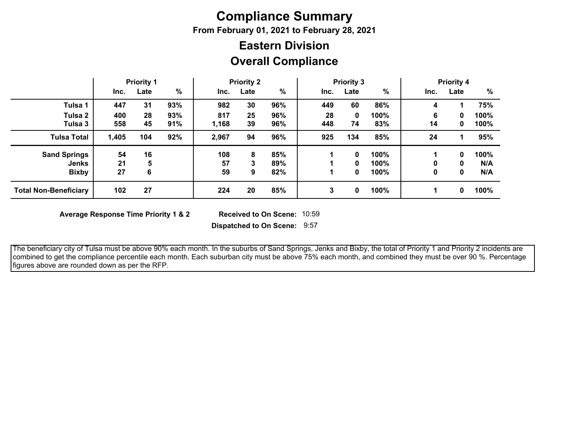## **Compliance Summary**

**From February 01, 2021 to February 28, 2021**

## **Overall Compliance Eastern Division**

|                              | <b>Priority 1</b> |      | <b>Priority 2</b> |       |      | <b>Priority 3</b> |      |      | <b>Priority 4</b> |              |      |      |
|------------------------------|-------------------|------|-------------------|-------|------|-------------------|------|------|-------------------|--------------|------|------|
|                              | Inc.              | Late | $\frac{0}{0}$     | Inc.  | Late | %                 | Inc. | Late | %                 | Inc.         | Late | $\%$ |
| Tulsa 1                      | 447               | 31   | 93%               | 982   | 30   | 96%               | 449  | 60   | 86%               | 4            |      | 75%  |
| Tulsa 2                      | 400               | 28   | 93%               | 817   | 25   | 96%               | 28   | 0    | 100%              | 6            | 0    | 100% |
| Tulsa 3                      | 558               | 45   | 91%               | 1,168 | 39   | 96%               | 448  | 74   | 83%               | 14           | 0    | 100% |
| <b>Tulsa Total</b>           | 1,405             | 104  | 92%               | 2,967 | 94   | 96%               | 925  | 134  | 85%               | 24           |      | 95%  |
| <b>Sand Springs</b>          | 54                | 16   |                   | 108   | 8    | 85%               |      | 0    | 100%              |              | 0    | 100% |
| <b>Jenks</b>                 | 21                | 5    |                   | 57    | 3    | 89%               |      | 0    | 100%              | $\mathbf{0}$ | 0    | N/A  |
| <b>Bixby</b>                 | 27                | 6    |                   | 59    | 9    | 82%               |      | 0    | 100%              | 0            | 0    | N/A  |
| <b>Total Non-Beneficiary</b> | 102               | 27   |                   | 224   | 20   | 85%               | 3    | 0    | 100%              |              | 0    | 100% |

**Average Response Time Priority 1 & 2** 

**Dispatched to On Scene:** 9:57 Received to On Scene: 10:59

 The beneficiary city of Tulsa must be above 90% each month. In the suburbs of Sand Springs, Jenks and Bixby, the total of Priority 1 and Priority 2 incidents are combined to get the compliance percentile each month. Each suburban city must be above 75% each month, and combined they must be over 90 %. Percentage figures above are rounded down as per the RFP.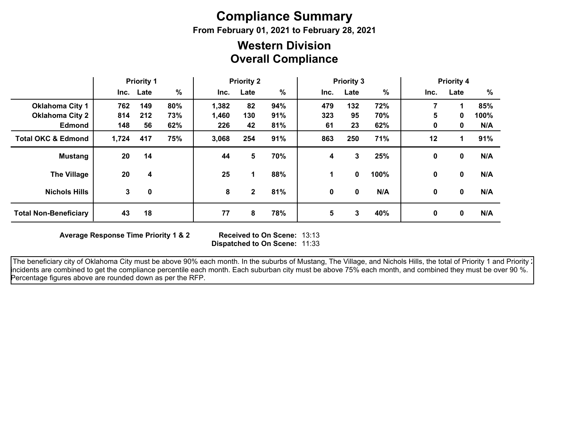# **Compliance Summary**

**From February 01, 2021 to February 28, 2021**

## **Overall Compliance Western Division**

|                               | <b>Priority 1</b> |           | <b>Priority 2</b> |       |              | <b>Priority 3</b> |      |      | <b>Priority 4</b> |      |              |      |
|-------------------------------|-------------------|-----------|-------------------|-------|--------------|-------------------|------|------|-------------------|------|--------------|------|
|                               |                   | Inc. Late | %                 | Inc.  | Late         | %                 | Inc. | Late | $\%$              | Inc. | Late         | %    |
| <b>Oklahoma City 1</b>        | 762               | 149       | 80%               | 1,382 | 82           | 94%               | 479  | 132  | 72%               |      | 1            | 85%  |
| <b>Oklahoma City 2</b>        | 814               | 212       | 73%               | 1,460 | 130          | 91%               | 323  | 95   | 70%               | 5    | 0            | 100% |
| <b>Edmond</b>                 | 148               | 56        | 62%               | 226   | 42           | 81%               | 61   | 23   | 62%               | 0    | 0            | N/A  |
| <b>Total OKC &amp; Edmond</b> | 1,724             | 417       | 75%               | 3,068 | 254          | 91%               | 863  | 250  | 71%               | 12   | 1            | 91%  |
| <b>Mustang</b>                | 20                | 14        |                   | 44    | 5            | 70%               | 4    | 3    | 25%               | 0    | 0            | N/A  |
| <b>The Village</b>            | 20                | 4         |                   | 25    | 1            | 88%               | 1.   | 0    | 100%              | 0    | 0            | N/A  |
| <b>Nichols Hills</b>          | 3                 | 0         |                   | 8     | $\mathbf{2}$ | 81%               | 0    | 0    | N/A               | 0    | $\mathbf{0}$ | N/A  |
| <b>Total Non-Beneficiary</b>  | 43                | 18        |                   | 77    | 8            | 78%               | 5    | 3    | 40%               | 0    | 0            | N/A  |

**Average Response Time Priority 1 & 2** 

**Dispatched to On Scene:** 11:33 Received to On Scene: 13:13

The beneficiary city of Oklahoma City must be above 90% each month. In the suburbs of Mustang, The Village, and Nichols Hills, the total of Priority 1 and Priority 2 incidents are combined to get the compliance percentile each month. Each suburban city must be above 75% each month, and combined they must be over 90 %. Percentage figures above are rounded down as per the RFP.